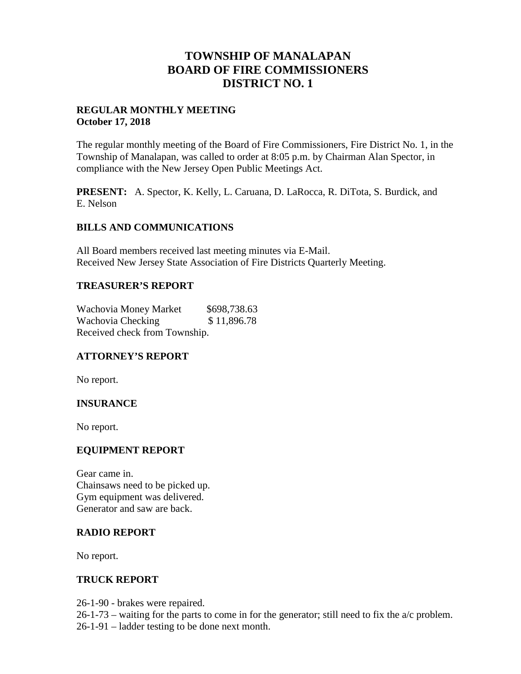## **TOWNSHIP OF MANALAPAN BOARD OF FIRE COMMISSIONERS DISTRICT NO. 1**

### **REGULAR MONTHLY MEETING October 17, 2018**

The regular monthly meeting of the Board of Fire Commissioners, Fire District No. 1, in the Township of Manalapan, was called to order at 8:05 p.m. by Chairman Alan Spector, in compliance with the New Jersey Open Public Meetings Act.

**PRESENT:** A. Spector, K. Kelly, L. Caruana, D. LaRocca, R. DiTota, S. Burdick, and E. Nelson

### **BILLS AND COMMUNICATIONS**

All Board members received last meeting minutes via E-Mail. Received New Jersey State Association of Fire Districts Quarterly Meeting.

### **TREASURER'S REPORT**

Wachovia Money Market \$698,738.63 Wachovia Checking  $$11,896.78$ Received check from Township.

## **ATTORNEY'S REPORT**

No report.

## **INSURANCE**

No report.

#### **EQUIPMENT REPORT**

Gear came in. Chainsaws need to be picked up. Gym equipment was delivered. Generator and saw are back.

#### **RADIO REPORT**

No report.

#### **TRUCK REPORT**

26-1-90 - brakes were repaired.

 $26-1-73$  – waiting for the parts to come in for the generator; still need to fix the  $a/c$  problem.

26-1-91 – ladder testing to be done next month.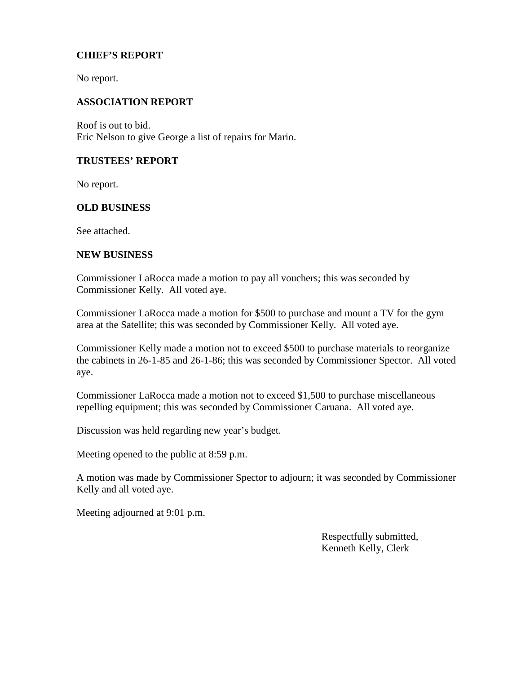### **CHIEF'S REPORT**

No report.

#### **ASSOCIATION REPORT**

Roof is out to bid. Eric Nelson to give George a list of repairs for Mario.

#### **TRUSTEES' REPORT**

No report.

#### **OLD BUSINESS**

See attached.

#### **NEW BUSINESS**

Commissioner LaRocca made a motion to pay all vouchers; this was seconded by Commissioner Kelly. All voted aye.

Commissioner LaRocca made a motion for \$500 to purchase and mount a TV for the gym area at the Satellite; this was seconded by Commissioner Kelly. All voted aye.

Commissioner Kelly made a motion not to exceed \$500 to purchase materials to reorganize the cabinets in 26-1-85 and 26-1-86; this was seconded by Commissioner Spector. All voted aye.

Commissioner LaRocca made a motion not to exceed \$1,500 to purchase miscellaneous repelling equipment; this was seconded by Commissioner Caruana. All voted aye.

Discussion was held regarding new year's budget.

Meeting opened to the public at 8:59 p.m.

A motion was made by Commissioner Spector to adjourn; it was seconded by Commissioner Kelly and all voted aye.

Meeting adjourned at 9:01 p.m.

Respectfully submitted, Kenneth Kelly, Clerk